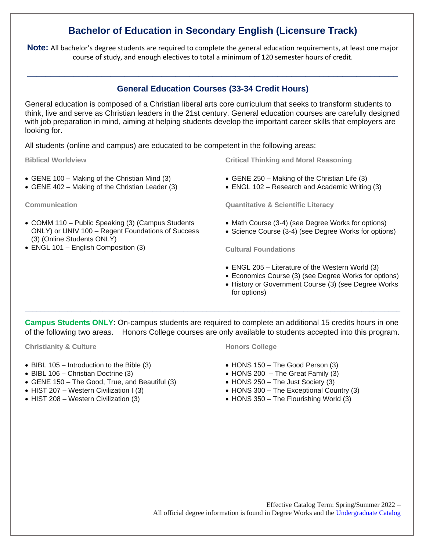# **Bachelor of Education in Secondary English (Licensure Track)**

**Note:** All bachelor's degree students are required to complete the general education requirements, at least one major course of study, and enough electives to total a minimum of 120 semester hours of credit.

### **General Education Courses (33-34 Credit Hours)**

**\_\_\_\_\_\_\_\_\_\_\_\_\_\_\_\_\_\_\_\_\_\_\_\_\_\_\_\_\_\_\_\_\_\_\_\_\_\_\_\_\_\_\_\_\_\_\_\_\_\_\_\_\_\_\_\_\_\_\_\_\_\_\_\_\_\_\_\_\_\_\_\_\_\_\_\_\_\_\_\_**

General education is composed of a Christian liberal arts core curriculum that seeks to transform students to think, live and serve as Christian leaders in the 21st century. General education courses are carefully designed with job preparation in mind, aiming at helping students develop the important career skills that employers are looking for.

All students (online and campus) are educated to be competent in the following areas:

**Biblical Worldview**

- GENE 100 Making of the Christian Mind (3)
- GENE 402 Making of the Christian Leader (3)

**Communication**

- COMM 110 Public Speaking (3) (Campus Students ONLY) or UNIV 100 – Regent Foundations of Success (3) (Online Students ONLY)
- ENGL 101 English Composition (3)

**Critical Thinking and Moral Reasoning**

- GENE 250 Making of the Christian Life (3)
- ENGL 102 Research and Academic Writing (3)

**Quantitative & Scientific Literacy**

- Math Course (3-4) (see Degree Works for options)
- Science Course (3-4) (see Degree Works for options)

**Cultural Foundations**

- ENGL 205 Literature of the Western World (3)
- Economics Course (3) (see Degree Works for options)
- History or Government Course (3) (see Degree Works for options)

**Campus Students ONLY**: On-campus students are required to complete an additional 15 credits hours in one of the following two areas. Honors College courses are only available to students accepted into this program.

**\_\_\_\_\_\_\_\_\_\_\_\_\_\_\_\_\_\_\_\_\_\_\_\_\_\_\_\_\_\_\_\_\_\_\_\_\_\_\_\_\_\_\_\_\_\_\_\_\_\_\_\_\_\_\_\_\_\_\_\_\_\_\_\_\_\_\_\_\_\_\_\_\_\_\_\_\_\_\_\_\_\_\_\_\_\_\_\_\_\_\_\_\_\_\_\_\_**

**Christianity & Culture**

- BIBL 105 Introduction to the Bible (3)
- BIBL 106 Christian Doctrine (3)
- GENE 150 The Good, True, and Beautiful (3)
- HIST 207 Western Civilization I (3)
- HIST 208 Western Civilization (3)

#### **Honors College**

- HONS 150 The Good Person (3)
- $\bullet$  HONS 200 The Great Family (3)
- HONS 250 The Just Society (3)
- HONS 300 The Exceptional Country (3)
- HONS 350 The Flourishing World (3)